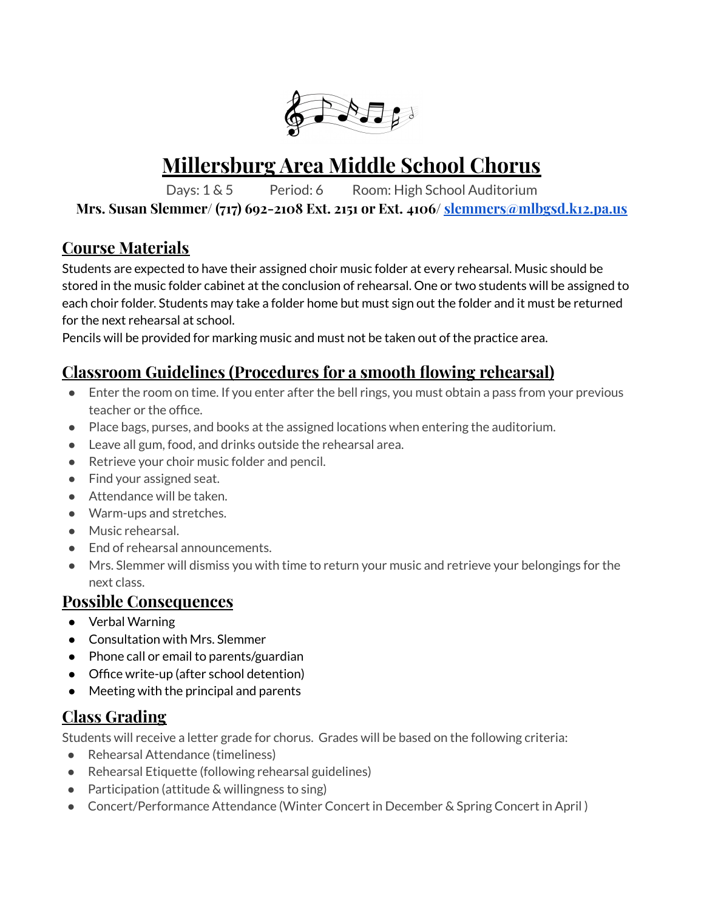

# **Millersburg Area Middle School Chorus**

Days: 1 & 5 Period: 6 Room: High School Auditorium

**Mrs. Susan Slemmer/ (717) 692-2108 Ext. 2151 or Ext. 4106/ slemmers@mlbgsd.k12.pa.us**

### **Course Materials**

Students are expected to have their assigned choir music folder at every rehearsal. Music should be stored in the music folder cabinet at the conclusion of rehearsal. One or two students will be assigned to each choir folder. Students may take a folder home but must sign out the folder and it must be returned for the next rehearsal at school.

Pencils will be provided for marking music and must not be taken out of the practice area.

## **Classroom Guidelines (Procedures for a smooth flowing rehearsal)**

- Enter the room on time. If you enter after the bell rings, you must obtain a pass from your previous teacher or the office.
- Place bags, purses, and books at the assigned locations when entering the auditorium.
- Leave all gum, food, and drinks outside the rehearsal area.
- Retrieve your choir music folder and pencil.
- Find your assigned seat.
- Attendance will be taken.
- Warm-ups and stretches.
- Music rehearsal.
- End of rehearsal announcements.
- Mrs. Slemmer will dismiss you with time to return your music and retrieve your belongings for the next class.

#### **Possible Consequences**

- Verbal Warning
- Consultation with Mrs. Slemmer
- Phone call or email to parents/guardian
- Office write-up (after school detention)
- Meeting with the principal and parents

# **Class Grading**

Students will receive a letter grade for chorus. Grades will be based on the following criteria:

- Rehearsal Attendance (timeliness)
- Rehearsal Etiquette (following rehearsal guidelines)
- Participation (attitude & willingness to sing)
- Concert/Performance Attendance (Winter Concert in December & Spring Concert in April)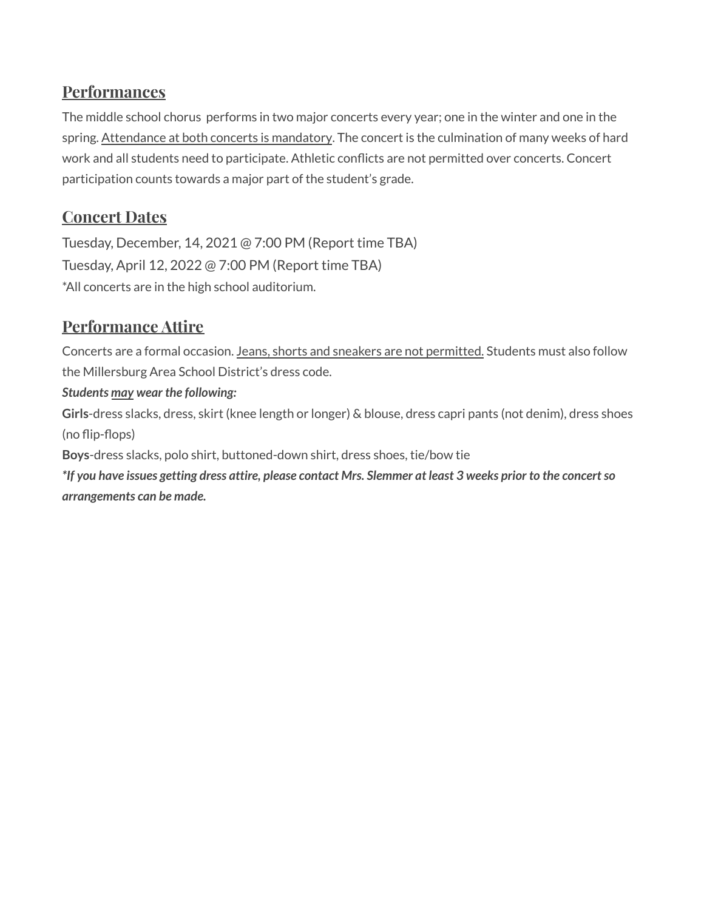### **Performances**

The middle school chorus performs in two major concerts every year; one in the winter and one in the spring. Attendance at both concerts is mandatory. The concert is the culmination of many weeks of hard work and all students need to participate. Athletic conflicts are not permitted over concerts. Concert participation counts towards a major part of the student's grade.

### **Concert Dates**

Tuesday, December, 14, 2021 @ 7:00 PM (Report time TBA) Tuesday, April 12, 2022 @ 7:00 PM (Report time TBA) \*All concerts are in the high school auditorium.

# **Performance Attire**

Concerts are a formal occasion. Jeans, shorts and sneakers are not permitted. Students must also follow the Millersburg Area School District's dress code.

#### *Students may wear the following:*

**Girls**-dress slacks, dress, skirt (knee length or longer) & blouse, dress capri pants (not denim), dress shoes (no flip-flops)

**Boys**-dress slacks, polo shirt, buttoned-down shirt, dress shoes, tie/bow tie

\*If you have issues getting dress attire, please contact Mrs. Slemmer at least 3 weeks prior to the concert so *arrangements can be made.*